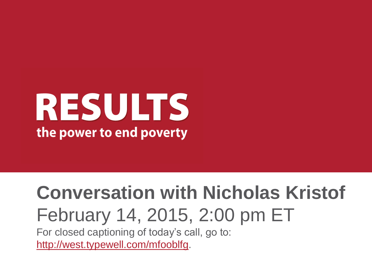# RESULTS the power to end poverty

## **Conversation with Nicholas Kristof** February 14, 2015, 2:00 pm ET

For closed captioning of today's call, go to: <http://west.typewell.com/mfooblfg>.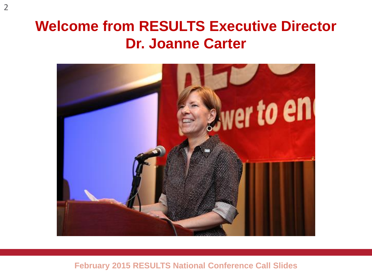### **Welcome from RESULTS Executive Director Dr. Joanne Carter**

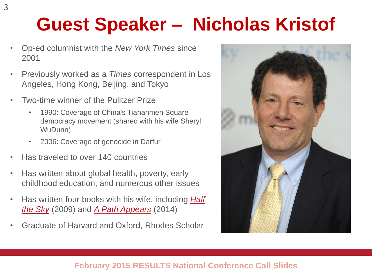## **Guest Speaker – Nicholas Kristof**

- Op-ed columnist with the *New York Times* since 2001
- Previously worked as a *Times* correspondent in Los Angeles, Hong Kong, Beijing, and Tokyo
- Two-time winner of the Pulitzer Prize
	- 1990: Coverage of China's Tiananmen Square democracy movement (shared with his wife Sheryl WuDunn)
	- 2006: Coverage of genocide in Darfur
- Has traveled to over 140 countries
- Has written about global health, poverty, early childhood education, and numerous other issues
- Has written four books with his wife, including *[Half](http://www.halftheskymovement.org/)  [the Sky](http://www.halftheskymovement.org/)* (2009) and *[A Path Appears](http://apathappears.org/)* (2014)
- Graduate of Harvard and Oxford, Rhodes Scholar

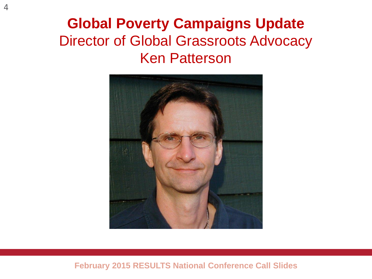### **Global Poverty Campaigns Update** Director of Global Grassroots Advocacy Ken Patterson

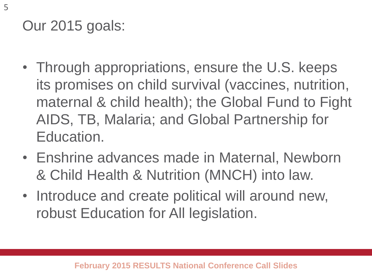Our 2015 goals:

- Through appropriations, ensure the U.S. keeps its promises on child survival (vaccines, nutrition, maternal & child health); the Global Fund to Fight AIDS, TB, Malaria; and Global Partnership for Education.
- Enshrine advances made in Maternal, Newborn & Child Health & Nutrition (MNCH) into law.
- Introduce and create political will around new, robust Education for All legislation.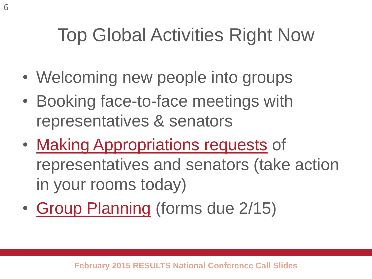## Top Global Activities Right Now

- Welcoming new people into groups
- Booking face-to-face meetings with representatives & senators
- [Making Appropriations requests](http://www.results.org/issues/appropriations) of representatives and senators (take action in your rooms today)
- [Group Planning](http://www.results.org/skills_center/group_resources_and_admin/) (forms due 2/15)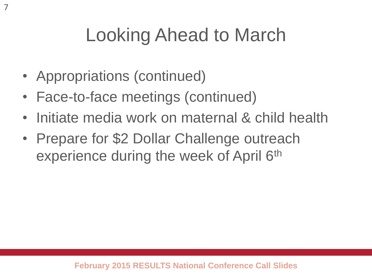## Looking Ahead to March

• Appropriations (continued)

7

- Face-to-face meetings (continued)
- Initiate media work on maternal & child health
- Prepare for \$2 Dollar Challenge outreach experience during the week of April 6th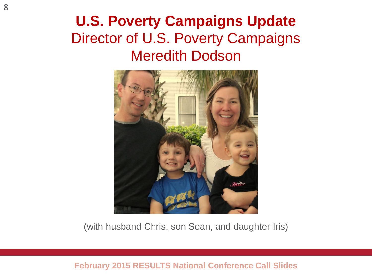### **U.S. Poverty Campaigns Update** Director of U.S. Poverty Campaigns Meredith Dodson



(with husband Chris, son Sean, and daughter Iris)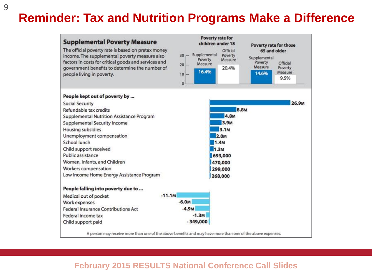#### **Reminder: Tax and Nutrition Programs Make a Difference**

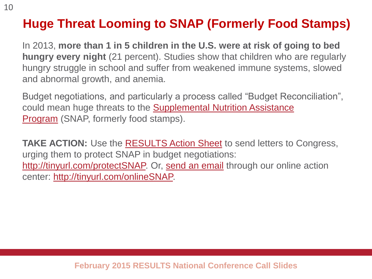### **Huge Threat Looming to SNAP (Formerly Food Stamps)**

In 2013, **more than 1 in 5 children in the U.S. were at risk of going to bed hungry every night** (21 percent). Studies show that children who are regularly hungry struggle in school and suffer from weakened immune systems, slowed and abnormal growth, and anemia.

Budget negotiations, and particularly a process called "Budget Reconciliation", could mean huge threats to the [Supplemental Nutrition Assistance](http://www.results.org/issues/us_poverty_campaigns/health_care_for_all/supplemental_nutrition_assistance_program/)  [Program](http://www.results.org/issues/us_poverty_campaigns/health_care_for_all/supplemental_nutrition_assistance_program/) (SNAP, formerly food stamps).

TAKE ACTION: Use the **RESULTS Action Sheet** to send letters to Congress, urging them to protect SNAP in budget negotiations: [http://tinyurl.com/protectSNAP.](http://tinyurl.com/protectSNAP) Or, [send an email](http://capwiz.com/results/issues/alert/?alertid=62580726) through our online action center:<http://tinyurl.com/onlineSNAP>.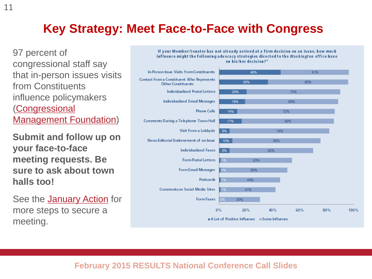#### **Key Strategy: Meet Face-to-Face with Congress**

97 percent of congressional staff say that in-person issues visits from Constituents influence policymakers ([Congressional](http://www.congressfoundation.org/storage/documents/CMF_Pubs/cwc-perceptions-of-citizen-advocacy.pdf)  [Management Foundation\)](http://www.congressfoundation.org/storage/documents/CMF_Pubs/cwc-perceptions-of-citizen-advocacy.pdf)

**Submit and follow up on your face-to-face meeting requests. Be sure to ask about town halls too!**

See the **[January Action](http://www.results.org/take_action/january_2015_u.s._poverty_action/)** for more steps to secure a meeting.

If your Member/Senator has not already arrived at a firm decision on an issue, how much influence might the following advocacy strategies directed to the Washington office have on his/her decision?\*

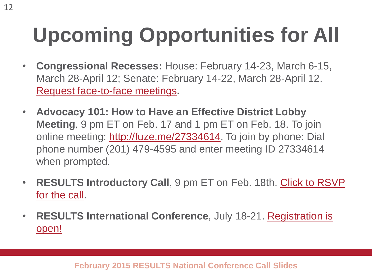# **Upcoming Opportunities for All**

- **Congressional Recesses:** House: February 14-23, March 6-15, March 28-April 12; Senate: February 14-22, March 28-April 12. [Request face-to-face meetings](http://www.results.org/skills_center/milestone_12/)**.**
- **Advocacy 101: How to Have an Effective District Lobby Meeting**, 9 pm ET on Feb. 17 and 1 pm ET on Feb. 18. To join online meeting:<http://fuze.me/27334614>. To join by phone: Dial phone number (201) 479-4595 and enter meeting ID 27334614 when prompted.
- **RESULTS Introductory Call**, 9 pm ET on Feb. 18th. [Click to RSVP](http://www.results.org/take_action/become_a_results_activist/#Introductory Call)  [for the call](http://www.results.org/take_action/become_a_results_activist/#Introductory Call).
- **RESULTS International Conference**, July 18-21. [Registration is](http://www.cvent.com/events/results-2015-international-conference/event-summary-6e6e2b145a02421a805078305ffdcb1f.aspx?i=56691988)  [open!](http://www.cvent.com/events/results-2015-international-conference/event-summary-6e6e2b145a02421a805078305ffdcb1f.aspx?i=56691988)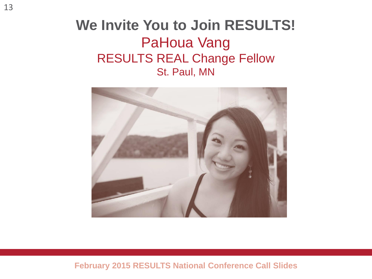#### **We Invite You to Join RESULTS!** PaHoua Vang RESULTS REAL Change Fellow St. Paul, MN